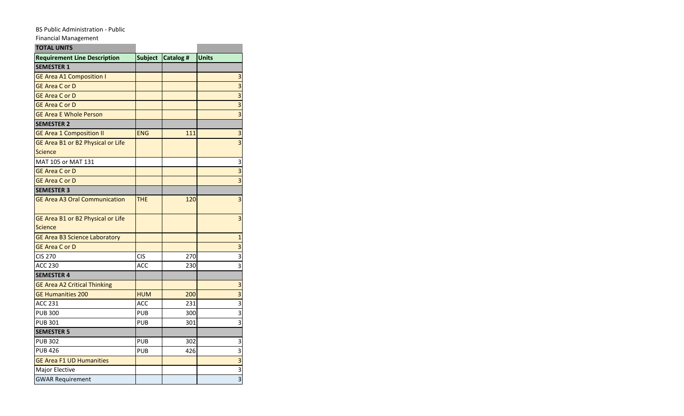## BS Public Administration - Public

Financial Management

| <b>TOTAL UNITS</b>                           |                |                 |                |
|----------------------------------------------|----------------|-----------------|----------------|
| <b>Requirement Line Description</b>          | <b>Subject</b> | <b>Catalog#</b> | <b>Units</b>   |
| <b>SEMESTER 1</b>                            |                |                 |                |
| <b>GE Area A1 Composition I</b>              |                |                 | 3              |
| <b>GE Area C or D</b>                        |                |                 | $\overline{3}$ |
| <b>GE Area C or D</b>                        |                |                 | 3              |
| <b>GE Area C or D</b>                        |                |                 | $\overline{3}$ |
| <b>GE Area E Whole Person</b>                |                |                 | 3              |
| <b>SEMESTER 2</b>                            |                |                 |                |
| <b>GE Area 1 Composition II</b>              | <b>ENG</b>     | 111             | 3              |
| GE Area B1 or B2 Physical or Life            |                |                 | $\overline{3}$ |
| <b>Science</b>                               |                |                 |                |
| MAT 105 or MAT 131                           |                |                 | 3              |
| <b>GE Area C or D</b>                        |                |                 | 3              |
| <b>GE Area C or D</b>                        |                |                 | $\overline{3}$ |
| <b>SEMESTER 3</b>                            |                |                 |                |
| <b>GE Area A3 Oral Communication</b>         | <b>THE</b>     | 120             | 3              |
| GE Area B1 or B2 Physical or Life<br>Science |                |                 | 3              |
| <b>GE Area B3 Science Laboratory</b>         |                |                 | $\mathbf{1}$   |
| <b>GE Area C or D</b>                        |                |                 | 3              |
| <b>CIS 270</b>                               | <b>CIS</b>     | 270             | 3              |
| <b>ACC 230</b>                               | ACC            | 230             | 3              |
| <b>SEMESTER 4</b>                            |                |                 |                |
| <b>GE Area A2 Critical Thinking</b>          |                |                 | 3              |
| <b>GE Humanities 200</b>                     | <b>HUM</b>     | 200             | $\overline{3}$ |
| <b>ACC 231</b>                               | ACC            | 231             | $\overline{3}$ |
| <b>PUB 300</b>                               | <b>PUB</b>     | 300             | 3              |
| <b>PUB 301</b>                               | <b>PUB</b>     | 301             | $\overline{3}$ |
| <b>SEMESTER 5</b>                            |                |                 |                |
| <b>PUB 302</b>                               | <b>PUB</b>     | 302             | 3              |
| <b>PUB 426</b>                               | <b>PUB</b>     | 426             | $\overline{3}$ |
| <b>GE Area F1 UD Humanities</b>              |                |                 | $\overline{3}$ |
| Major Elective                               |                |                 | 3              |
| <b>GWAR Requirement</b>                      |                |                 | 3              |